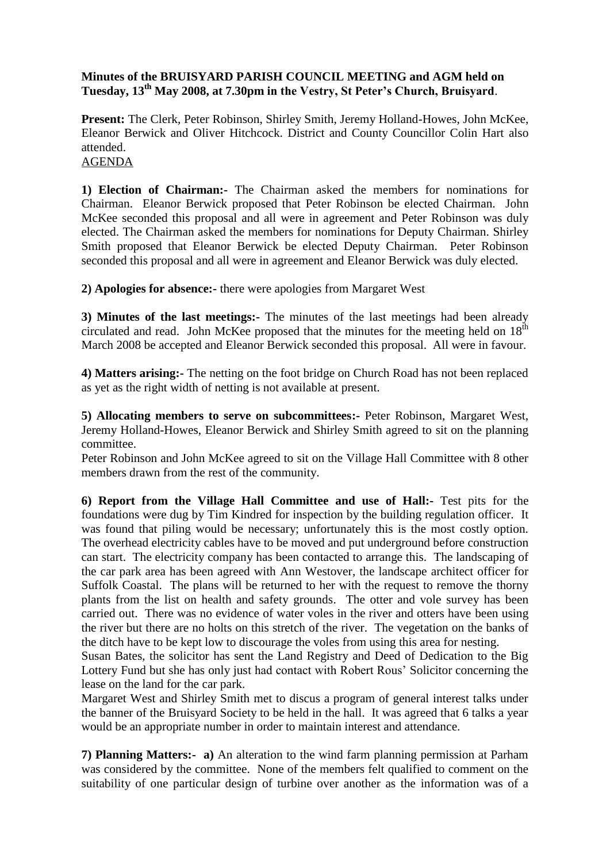## **Minutes of the BRUISYARD PARISH COUNCIL MEETING and AGM held on Tuesday, 13th May 2008, at 7.30pm in the Vestry, St Peter's Church, Bruisyard**.

**Present:** The Clerk, Peter Robinson, Shirley Smith, Jeremy Holland-Howes, John McKee, Eleanor Berwick and Oliver Hitchcock. District and County Councillor Colin Hart also attended.

## AGENDA

**1) Election of Chairman:-** The Chairman asked the members for nominations for Chairman. Eleanor Berwick proposed that Peter Robinson be elected Chairman. John McKee seconded this proposal and all were in agreement and Peter Robinson was duly elected. The Chairman asked the members for nominations for Deputy Chairman. Shirley Smith proposed that Eleanor Berwick be elected Deputy Chairman. Peter Robinson seconded this proposal and all were in agreement and Eleanor Berwick was duly elected.

**2) Apologies for absence:-** there were apologies from Margaret West

**3) Minutes of the last meetings:-** The minutes of the last meetings had been already circulated and read. John McKee proposed that the minutes for the meeting held on  $18<sup>th</sup>$ March 2008 be accepted and Eleanor Berwick seconded this proposal. All were in favour.

**4) Matters arising:-** The netting on the foot bridge on Church Road has not been replaced as yet as the right width of netting is not available at present.

**5) Allocating members to serve on subcommittees:-** Peter Robinson, Margaret West, Jeremy Holland-Howes, Eleanor Berwick and Shirley Smith agreed to sit on the planning committee.

Peter Robinson and John McKee agreed to sit on the Village Hall Committee with 8 other members drawn from the rest of the community.

**6) Report from the Village Hall Committee and use of Hall:-** Test pits for the foundations were dug by Tim Kindred for inspection by the building regulation officer. It was found that piling would be necessary; unfortunately this is the most costly option. The overhead electricity cables have to be moved and put underground before construction can start. The electricity company has been contacted to arrange this. The landscaping of the car park area has been agreed with Ann Westover, the landscape architect officer for Suffolk Coastal. The plans will be returned to her with the request to remove the thorny plants from the list on health and safety grounds. The otter and vole survey has been carried out. There was no evidence of water voles in the river and otters have been using the river but there are no holts on this stretch of the river. The vegetation on the banks of the ditch have to be kept low to discourage the voles from using this area for nesting.

Susan Bates, the solicitor has sent the Land Registry and Deed of Dedication to the Big Lottery Fund but she has only just had contact with Robert Rous' Solicitor concerning the lease on the land for the car park.

Margaret West and Shirley Smith met to discus a program of general interest talks under the banner of the Bruisyard Society to be held in the hall. It was agreed that 6 talks a year would be an appropriate number in order to maintain interest and attendance.

**7) Planning Matters:- a)** An alteration to the wind farm planning permission at Parham was considered by the committee. None of the members felt qualified to comment on the suitability of one particular design of turbine over another as the information was of a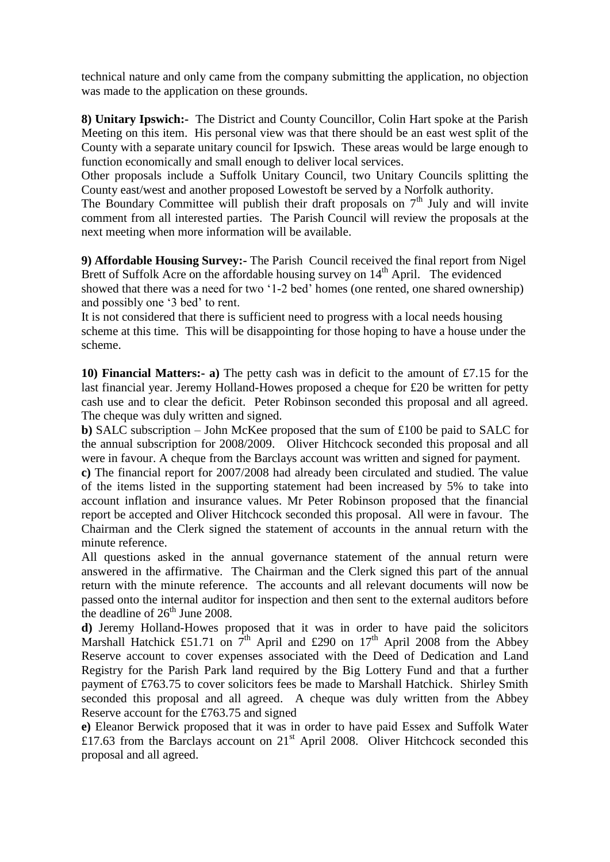technical nature and only came from the company submitting the application, no objection was made to the application on these grounds.

**8) Unitary Ipswich:-** The District and County Councillor, Colin Hart spoke at the Parish Meeting on this item. His personal view was that there should be an east west split of the County with a separate unitary council for Ipswich. These areas would be large enough to function economically and small enough to deliver local services.

Other proposals include a Suffolk Unitary Council, two Unitary Councils splitting the County east/west and another proposed Lowestoft be served by a Norfolk authority.

The Boundary Committee will publish their draft proposals on  $7<sup>th</sup>$  July and will invite comment from all interested parties. The Parish Council will review the proposals at the next meeting when more information will be available.

**9) Affordable Housing Survey:-** The Parish Council received the final report from Nigel Brett of Suffolk Acre on the affordable housing survey on  $14<sup>th</sup>$  April. The evidenced showed that there was a need for two '1-2 bed' homes (one rented, one shared ownership) and possibly one '3 bed' to rent.

It is not considered that there is sufficient need to progress with a local needs housing scheme at this time. This will be disappointing for those hoping to have a house under the scheme.

**10) Financial Matters:- a)** The petty cash was in deficit to the amount of £7.15 for the last financial year. Jeremy Holland-Howes proposed a cheque for £20 be written for petty cash use and to clear the deficit. Peter Robinson seconded this proposal and all agreed. The cheque was duly written and signed.

**b)** SALC subscription – John McKee proposed that the sum of £100 be paid to SALC for the annual subscription for 2008/2009. Oliver Hitchcock seconded this proposal and all were in favour. A cheque from the Barclays account was written and signed for payment.

**c)** The financial report for 2007/2008 had already been circulated and studied. The value of the items listed in the supporting statement had been increased by 5% to take into account inflation and insurance values. Mr Peter Robinson proposed that the financial report be accepted and Oliver Hitchcock seconded this proposal. All were in favour. The Chairman and the Clerk signed the statement of accounts in the annual return with the minute reference.

All questions asked in the annual governance statement of the annual return were answered in the affirmative. The Chairman and the Clerk signed this part of the annual return with the minute reference. The accounts and all relevant documents will now be passed onto the internal auditor for inspection and then sent to the external auditors before the deadline of  $26<sup>th</sup>$  June 2008.

**d)** Jeremy Holland-Howes proposed that it was in order to have paid the solicitors Marshall Hatchick £51.71 on  $7^{th}$  April and £290 on 17<sup>th</sup> April 2008 from the Abbey Reserve account to cover expenses associated with the Deed of Dedication and Land Registry for the Parish Park land required by the Big Lottery Fund and that a further payment of £763.75 to cover solicitors fees be made to Marshall Hatchick. Shirley Smith seconded this proposal and all agreed. A cheque was duly written from the Abbey Reserve account for the £763.75 and signed

**e)** Eleanor Berwick proposed that it was in order to have paid Essex and Suffolk Water £17.63 from the Barclays account on  $21<sup>st</sup>$  April 2008. Oliver Hitchcock seconded this proposal and all agreed.